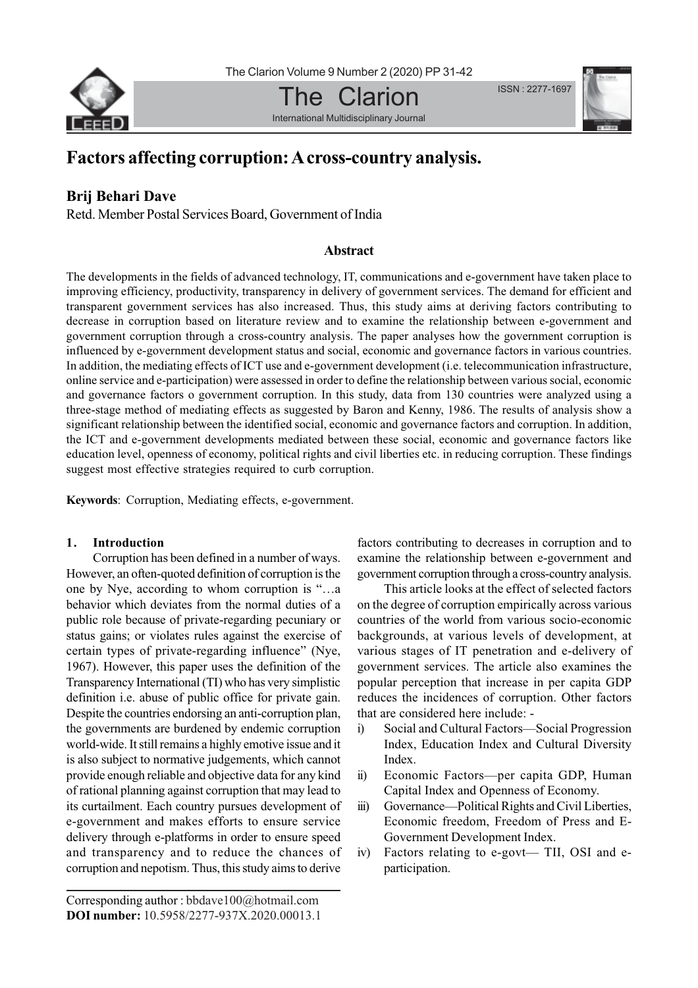

The Clarion International Multidisciplinary Journal ISSN : 2277-1697



# **Factors affecting corruption: A cross-country analysis.**

# **Brij Behari Dave**

Retd. Member Postal Services Board, Government of India

# **Abstract**

The developments in the fields of advanced technology, IT, communications and e-government have taken place to improving efficiency, productivity, transparency in delivery of government services. The demand for efficient and transparent government services has also increased. Thus, this study aims at deriving factors contributing to decrease in corruption based on literature review and to examine the relationship between e-government and government corruption through a cross-country analysis. The paper analyses how the government corruption is influenced by e-government development status and social, economic and governance factors in various countries. In addition, the mediating effects of ICT use and e-government development (i.e. telecommunication infrastructure, online service and e-participation) were assessed in order to define the relationship between various social, economic and governance factors o government corruption. In this study, data from 130 countries were analyzed using a three-stage method of mediating effects as suggested by Baron and Kenny, 1986. The results of analysis show a significant relationship between the identified social, economic and governance factors and corruption. In addition, the ICT and e-government developments mediated between these social, economic and governance factors like education level, openness of economy, political rights and civil liberties etc. in reducing corruption. These findings suggest most effective strategies required to curb corruption.

**Keywords**: Corruption, Mediating effects, e-government.

# **1. Introduction**

Corruption has been defined in a number of ways. However, an often-quoted definition of corruption is the one by Nye, according to whom corruption is "…a behavior which deviates from the normal duties of a public role because of private-regarding pecuniary or status gains; or violates rules against the exercise of certain types of private-regarding influence" (Nye, 1967). However, this paper uses the definition of the Transparency International (TI) who has very simplistic definition i.e. abuse of public office for private gain. Despite the countries endorsing an anti-corruption plan, the governments are burdened by endemic corruption world-wide. It still remains a highly emotive issue and it is also subject to normative judgements, which cannot provide enough reliable and objective data for any kind of rational planning against corruption that may lead to its curtailment. Each country pursues development of e-government and makes efforts to ensure service delivery through e-platforms in order to ensure speed and transparency and to reduce the chances of corruption and nepotism. Thus, this study aims to derive

factors contributing to decreases in corruption and to examine the relationship between e-government and government corruption through a cross-country analysis.

This article looks at the effect of selected factors on the degree of corruption empirically across various countries of the world from various socio-economic backgrounds, at various levels of development, at various stages of IT penetration and e-delivery of government services. The article also examines the popular perception that increase in per capita GDP reduces the incidences of corruption. Other factors that are considered here include: -

- i) Social and Cultural Factors—Social Progression Index, Education Index and Cultural Diversity Index.
- ii) Economic Factors—per capita GDP, Human Capital Index and Openness of Economy.
- iii) Governance—Political Rights and Civil Liberties, Economic freedom, Freedom of Press and E-Government Development Index.
- iv) Factors relating to e-govt— TII, OSI and eparticipation.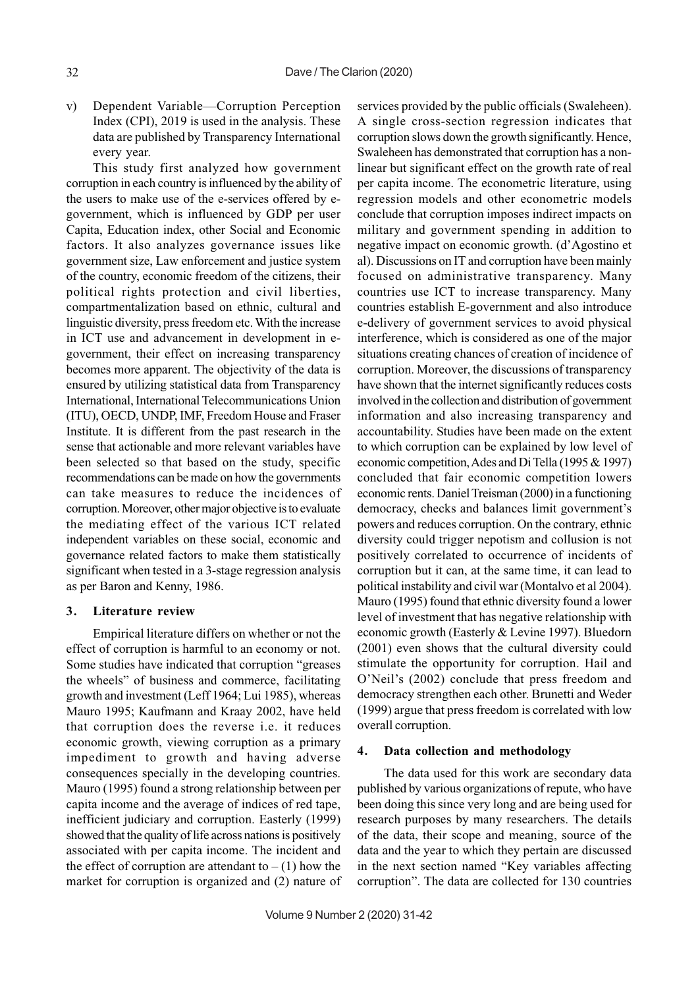v) Dependent Variable—Corruption Perception Index (CPI), 2019 is used in the analysis. These data are published by Transparency International every year.

This study first analyzed how government corruption in each country is influenced by the ability of the users to make use of the e-services offered by egovernment, which is influenced by GDP per user Capita, Education index, other Social and Economic factors. It also analyzes governance issues like government size, Law enforcement and justice system of the country, economic freedom of the citizens, their political rights protection and civil liberties, compartmentalization based on ethnic, cultural and linguistic diversity, press freedom etc. With the increase in ICT use and advancement in development in egovernment, their effect on increasing transparency becomes more apparent. The objectivity of the data is ensured by utilizing statistical data from Transparency International, International Telecommunications Union (ITU), OECD, UNDP, IMF, Freedom House and Fraser Institute. It is different from the past research in the sense that actionable and more relevant variables have been selected so that based on the study, specific recommendations can be made on how the governments can take measures to reduce the incidences of corruption. Moreover, other major objective is to evaluate the mediating effect of the various ICT related independent variables on these social, economic and governance related factors to make them statistically significant when tested in a 3-stage regression analysis as per Baron and Kenny, 1986.

#### **3. Literature review**

Empirical literature differs on whether or not the effect of corruption is harmful to an economy or not. Some studies have indicated that corruption "greases the wheels" of business and commerce, facilitating growth and investment (Leff 1964; Lui 1985), whereas Mauro 1995; Kaufmann and Kraay 2002, have held that corruption does the reverse i.e. it reduces economic growth, viewing corruption as a primary impediment to growth and having adverse consequences specially in the developing countries. Mauro (1995) found a strong relationship between per capita income and the average of indices of red tape, inefficient judiciary and corruption. Easterly (1999) showed that the quality of life across nations is positively associated with per capita income. The incident and the effect of corruption are attendant to  $- (1)$  how the market for corruption is organized and (2) nature of services provided by the public officials (Swaleheen). A single cross-section regression indicates that corruption slows down the growth significantly. Hence, Swaleheen has demonstrated that corruption has a nonlinear but significant effect on the growth rate of real per capita income. The econometric literature, using regression models and other econometric models conclude that corruption imposes indirect impacts on military and government spending in addition to negative impact on economic growth. (d'Agostino et al). Discussions on IT and corruption have been mainly focused on administrative transparency. Many countries use ICT to increase transparency. Many countries establish E-government and also introduce e-delivery of government services to avoid physical interference, which is considered as one of the major situations creating chances of creation of incidence of corruption. Moreover, the discussions of transparency have shown that the internet significantly reduces costs involved in the collection and distribution of government information and also increasing transparency and accountability. Studies have been made on the extent to which corruption can be explained by low level of economic competition, Ades and Di Tella (1995 & 1997) concluded that fair economic competition lowers economic rents. Daniel Treisman (2000) in a functioning democracy, checks and balances limit government's powers and reduces corruption. On the contrary, ethnic diversity could trigger nepotism and collusion is not positively correlated to occurrence of incidents of corruption but it can, at the same time, it can lead to political instability and civil war (Montalvo et al 2004). Mauro (1995) found that ethnic diversity found a lower level of investment that has negative relationship with economic growth (Easterly & Levine 1997). Bluedorn (2001) even shows that the cultural diversity could stimulate the opportunity for corruption. Hail and O'Neil's (2002) conclude that press freedom and democracy strengthen each other. Brunetti and Weder (1999) argue that press freedom is correlated with low overall corruption.

#### **4. Data collection and methodology**

The data used for this work are secondary data published by various organizations of repute, who have been doing this since very long and are being used for research purposes by many researchers. The details of the data, their scope and meaning, source of the data and the year to which they pertain are discussed in the next section named "Key variables affecting corruption". The data are collected for 130 countries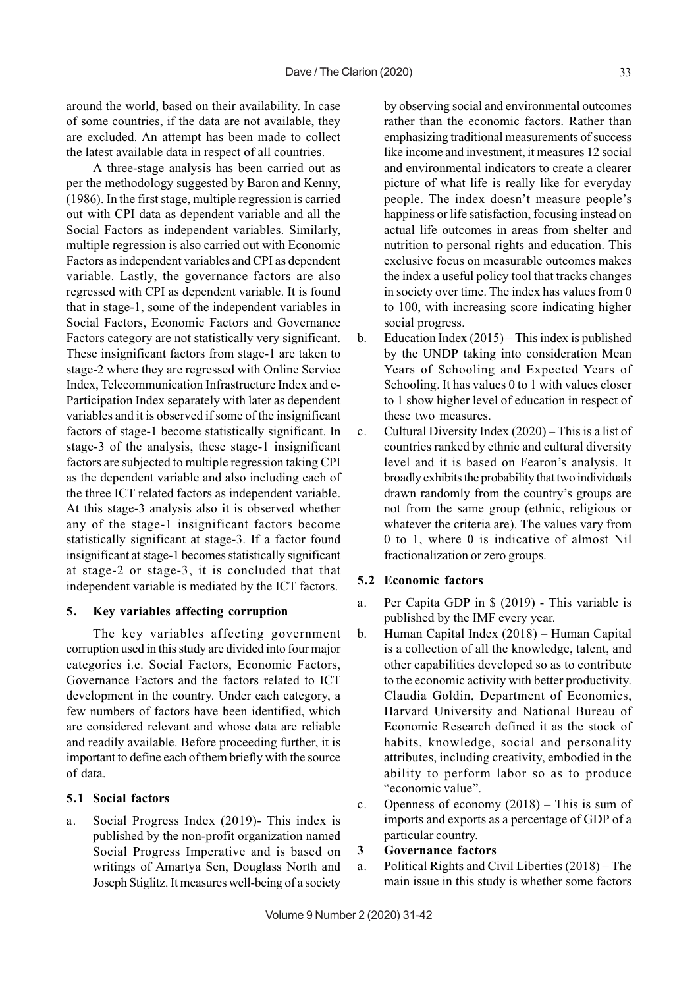around the world, based on their availability. In case of some countries, if the data are not available, they are excluded. An attempt has been made to collect the latest available data in respect of all countries.

A three-stage analysis has been carried out as per the methodology suggested by Baron and Kenny, (1986). In the first stage, multiple regression is carried out with CPI data as dependent variable and all the Social Factors as independent variables. Similarly, multiple regression is also carried out with Economic Factors as independent variables and CPI as dependent variable. Lastly, the governance factors are also regressed with CPI as dependent variable. It is found that in stage-1, some of the independent variables in Social Factors, Economic Factors and Governance Factors category are not statistically very significant. These insignificant factors from stage-1 are taken to stage-2 where they are regressed with Online Service Index, Telecommunication Infrastructure Index and e-Participation Index separately with later as dependent variables and it is observed if some of the insignificant factors of stage-1 become statistically significant. In stage-3 of the analysis, these stage-1 insignificant factors are subjected to multiple regression taking CPI as the dependent variable and also including each of the three ICT related factors as independent variable. At this stage-3 analysis also it is observed whether any of the stage-1 insignificant factors become statistically significant at stage-3. If a factor found insignificant at stage-1 becomes statistically significant at stage-2 or stage-3, it is concluded that that independent variable is mediated by the ICT factors.

#### **5. Key variables affecting corruption**

The key variables affecting government corruption used in this study are divided into four major categories i.e. Social Factors, Economic Factors, Governance Factors and the factors related to ICT development in the country. Under each category, a few numbers of factors have been identified, which are considered relevant and whose data are reliable and readily available. Before proceeding further, it is important to define each of them briefly with the source of data.

## **5.1 Social factors**

a. Social Progress Index (2019)- This index is published by the non-profit organization named Social Progress Imperative and is based on writings of Amartya Sen, Douglass North and Joseph Stiglitz. It measures well-being of a society

by observing social and environmental outcomes rather than the economic factors. Rather than emphasizing traditional measurements of success like income and investment, it measures 12 social and environmental indicators to create a clearer picture of what life is really like for everyday people. The index doesn't measure people's happiness or life satisfaction, focusing instead on actual life outcomes in areas from shelter and nutrition to personal rights and education. This exclusive focus on measurable outcomes makes the index a useful policy tool that tracks changes in society over time. The index has values from 0 to 100, with increasing score indicating higher social progress.

- b. Education Index (2015) This index is published by the UNDP taking into consideration Mean Years of Schooling and Expected Years of Schooling. It has values 0 to 1 with values closer to 1 show higher level of education in respect of these two measures.
- c. Cultural Diversity Index (2020) This is a list of countries ranked by ethnic and cultural diversity level and it is based on Fearon's analysis. It broadly exhibits the probability that two individuals drawn randomly from the country's groups are not from the same group (ethnic, religious or whatever the criteria are). The values vary from 0 to 1, where 0 is indicative of almost Nil fractionalization or zero groups.

## **5.2 Economic factors**

- a. Per Capita GDP in \$ (2019) This variable is published by the IMF every year.
- b. Human Capital Index (2018) Human Capital is a collection of all the knowledge, talent, and other capabilities developed so as to contribute to the economic activity with better productivity. Claudia Goldin, Department of Economics, Harvard University and National Bureau of Economic Research defined it as the stock of habits, knowledge, social and personality attributes, including creativity, embodied in the ability to perform labor so as to produce "economic value".
- c. Openness of economy (2018) This is sum of imports and exports as a percentage of GDP of a particular country.

## **3 Governance factors**

a. Political Rights and Civil Liberties (2018) – The main issue in this study is whether some factors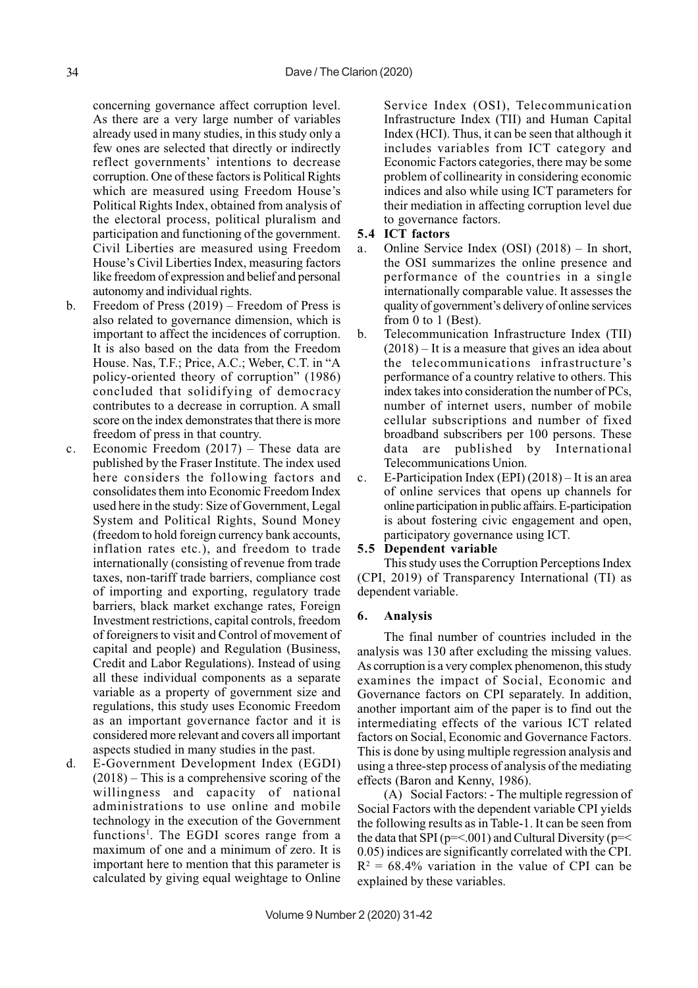concerning governance affect corruption level. As there are a very large number of variables already used in many studies, in this study only a few ones are selected that directly or indirectly reflect governments' intentions to decrease corruption. One of these factors is Political Rights which are measured using Freedom House's Political Rights Index, obtained from analysis of the electoral process, political pluralism and participation and functioning of the government. Civil Liberties are measured using Freedom House's Civil Liberties Index, measuring factors like freedom of expression and belief and personal autonomy and individual rights.

- b. Freedom of Press (2019) Freedom of Press is also related to governance dimension, which is important to affect the incidences of corruption. It is also based on the data from the Freedom House. Nas, T.F.; Price, A.C.; Weber, C.T. in "A policy-oriented theory of corruption" (1986) concluded that solidifying of democracy contributes to a decrease in corruption. A small score on the index demonstrates that there is more freedom of press in that country.
- c. Economic Freedom (2017) These data are published by the Fraser Institute. The index used here considers the following factors and consolidates them into Economic Freedom Index used here in the study: Size of Government, Legal System and Political Rights, Sound Money (freedom to hold foreign currency bank accounts, inflation rates etc.), and freedom to trade internationally (consisting of revenue from trade taxes, non-tariff trade barriers, compliance cost of importing and exporting, regulatory trade barriers, black market exchange rates, Foreign Investment restrictions, capital controls, freedom of foreigners to visit and Control of movement of capital and people) and Regulation (Business, Credit and Labor Regulations). Instead of using all these individual components as a separate variable as a property of government size and regulations, this study uses Economic Freedom as an important governance factor and it is considered more relevant and covers all important aspects studied in many studies in the past.
- d. E-Government Development Index (EGDI) (2018) – This is a comprehensive scoring of the willingness and capacity of national administrations to use online and mobile technology in the execution of the Government functions<sup>1</sup>. The EGDI scores range from a maximum of one and a minimum of zero. It is important here to mention that this parameter is calculated by giving equal weightage to Online

Service Index (OSI), Telecommunication Infrastructure Index (TII) and Human Capital Index (HCI). Thus, it can be seen that although it includes variables from ICT category and Economic Factors categories, there may be some problem of collinearity in considering economic indices and also while using ICT parameters for their mediation in affecting corruption level due to governance factors.

#### **5.4 ICT factors**

- a. Online Service Index (OSI) (2018) In short, the OSI summarizes the online presence and performance of the countries in a single internationally comparable value. It assesses the quality of government's delivery of online services from 0 to 1 (Best).
- b. Telecommunication Infrastructure Index (TII) (2018) – It is a measure that gives an idea about the telecommunications infrastructure's performance of a country relative to others. This index takes into consideration the number of PCs, number of internet users, number of mobile cellular subscriptions and number of fixed broadband subscribers per 100 persons. These data are published by International Telecommunications Union.
- c. E-Participation Index (EPI) (2018) It is an area of online services that opens up channels for online participation in public affairs. E-participation is about fostering civic engagement and open, participatory governance using ICT.

## **5.5 Dependent variable**

This study uses the Corruption Perceptions Index (CPI, 2019) of Transparency International (TI) as dependent variable.

#### **6. Analysis**

The final number of countries included in the analysis was 130 after excluding the missing values. As corruption is a very complex phenomenon, this study examines the impact of Social, Economic and Governance factors on CPI separately. In addition, another important aim of the paper is to find out the intermediating effects of the various ICT related factors on Social, Economic and Governance Factors. This is done by using multiple regression analysis and using a three-step process of analysis of the mediating effects (Baron and Kenny, 1986).

(A) Social Factors: - The multiple regression of Social Factors with the dependent variable CPI yields the following results as in Table-1. It can be seen from the data that SPI ( $p = 001$ ) and Cultural Diversity ( $p = 1$ 0.05) indices are significantly correlated with the CPI.  $R^2 = 68.4\%$  variation in the value of CPI can be explained by these variables.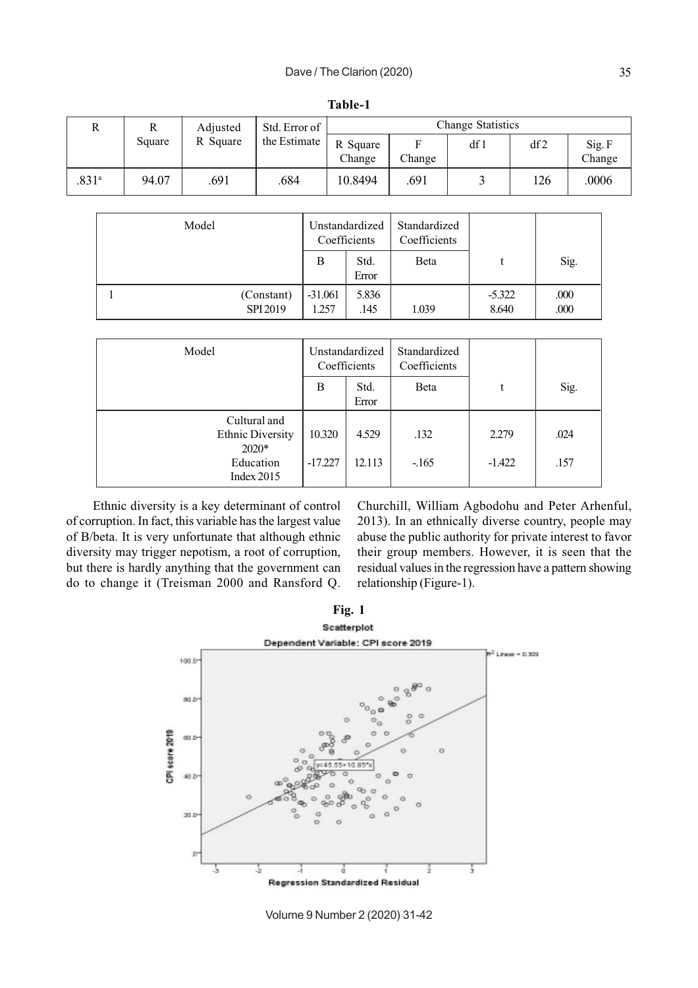|                   |        | Adjusted | Std. Error of |                    |        | Change Statistics |     |                  |
|-------------------|--------|----------|---------------|--------------------|--------|-------------------|-----|------------------|
|                   | Square | R Square | the Estimate  | R Square<br>Change | Change | df 1              | df2 | Sig. F<br>Change |
| .831 <sup>a</sup> | 94.07  | .691     | .684          | 10.8494            | .691   |                   | 126 | .0006            |

**Table-1**

| Model                  |                    | Unstandardized<br>Coefficients | Standardized<br>Coefficients |                   |              |
|------------------------|--------------------|--------------------------------|------------------------------|-------------------|--------------|
|                        | B                  | Std.<br>Error                  | Beta                         |                   | Sig.         |
| (Constant)<br>SPI 2019 | $-31.061$<br>1.257 | 5.836<br>.145                  | 1.039                        | $-5.322$<br>8.640 | .000<br>.000 |

| Model                                              |           | Unstandardized<br>Coefficients | Standardized<br>Coefficients |          |      |
|----------------------------------------------------|-----------|--------------------------------|------------------------------|----------|------|
|                                                    | B         | Std.<br>Error                  | Beta                         | t        | Sig. |
| Cultural and<br><b>Ethnic Diversity</b><br>$2020*$ | 10.320    | 4.529                          | .132                         | 2.279    | .024 |
| Education<br>Index $2015$                          | $-17.227$ | 12.113                         | $-165$                       | $-1.422$ | .157 |

Ethnic diversity is a key determinant of control of corruption. In fact, this variable has the largest value of B/beta. It is very unfortunate that although ethnic diversity may trigger nepotism, a root of corruption, but there is hardly anything that the government can do to change it (Treisman 2000 and Ransford Q. Churchill, William Agbodohu and Peter Arhenful, 2013). In an ethnically diverse country, people may abuse the public authority for private interest to favor their group members. However, it is seen that the residual values in the regression have a pattern showing relationship (Figure-1).



Volume 9 Number 2 (2020) 31-42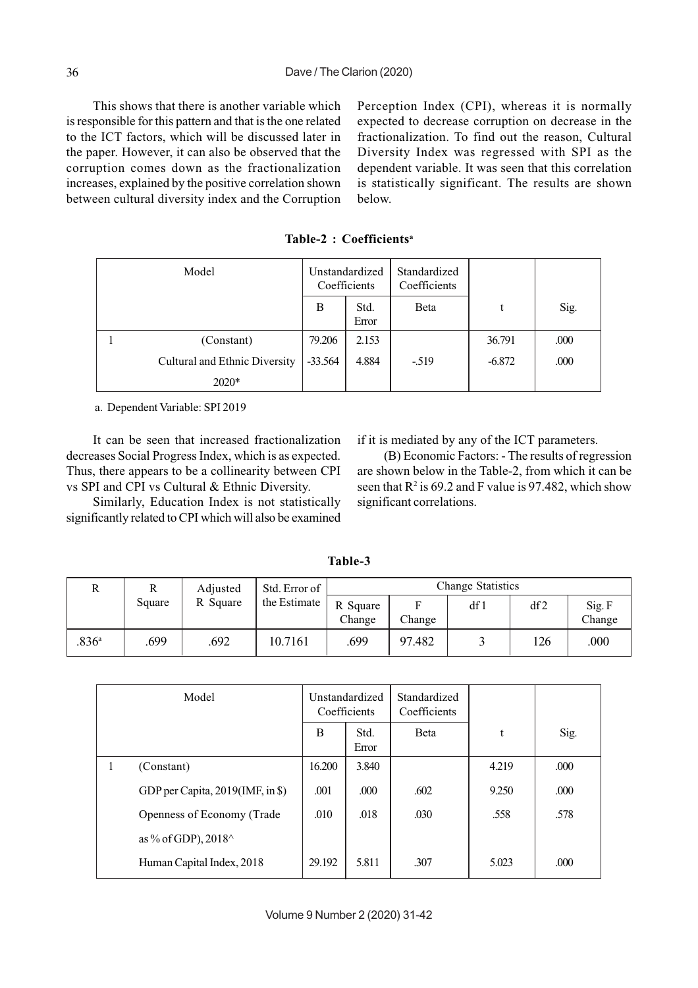This shows that there is another variable which is responsible for this pattern and that is the one related to the ICT factors, which will be discussed later in the paper. However, it can also be observed that the corruption comes down as the fractionalization increases, explained by the positive correlation shown between cultural diversity index and the Corruption

Perception Index (CPI), whereas it is normally expected to decrease corruption on decrease in the fractionalization. To find out the reason, Cultural Diversity Index was regressed with SPI as the dependent variable. It was seen that this correlation is statistically significant. The results are shown below.

| Model |                               |           | Unstandardized<br>Coefficients | Standardized<br>Coefficients |          |      |
|-------|-------------------------------|-----------|--------------------------------|------------------------------|----------|------|
|       |                               | B         | Std.<br>Error                  | <b>B</b> eta                 | t        | Sig. |
|       | (Constant)                    | 79.206    | 2.153                          |                              | 36.791   | .000 |
|       | Cultural and Ethnic Diversity | $-33.564$ | 4.884                          | $-519$                       | $-6.872$ | .000 |
|       | $2020*$                       |           |                                |                              |          |      |

**Table-2 : Coefficientsa**

a. Dependent Variable: SPI 2019

It can be seen that increased fractionalization decreases Social Progress Index, which is as expected. Thus, there appears to be a collinearity between CPI vs SPI and CPI vs Cultural & Ethnic Diversity.

Similarly, Education Index is not statistically significantly related to CPI which will also be examined if it is mediated by any of the ICT parameters.

(B) Economic Factors: - The results of regression are shown below in the Table-2, from which it can be seen that  $R^2$  is 69.2 and F value is 97.482, which show significant correlations.

| Adjusted          | Std. Error of | <b>Change Statistics</b> |              |                    |        |      |     |                  |
|-------------------|---------------|--------------------------|--------------|--------------------|--------|------|-----|------------------|
|                   | Square        | R Square                 | the Estimate | R Square<br>Change | Change | df 1 | df2 | Sig. F<br>Change |
| .836 <sup>a</sup> | .699          | .692                     | 10.7161      | .699               | 97.482 |      | 126 | .000             |

|   | Model                            |        | Unstandardized<br>Coefficients | Standardized<br>Coefficients |       |      |
|---|----------------------------------|--------|--------------------------------|------------------------------|-------|------|
|   |                                  | B      | Std.<br>Error                  | <b>B</b> eta                 | t     | Sig. |
| 1 | (Constant)                       | 16.200 | 3.840                          |                              | 4.219 | .000 |
|   | GDP per Capita, 2019(IMF, in \$) | .001   | .000                           | .602                         | 9.250 | .000 |
|   | Openness of Economy (Trade       | .010   | .018                           | .030                         | .558  | .578 |
|   | as % of GDP), $2018^{\wedge}$    |        |                                |                              |       |      |
|   | Human Capital Index, 2018        | 29.192 | 5.811                          | .307                         | 5.023 | .000 |

**Table-3**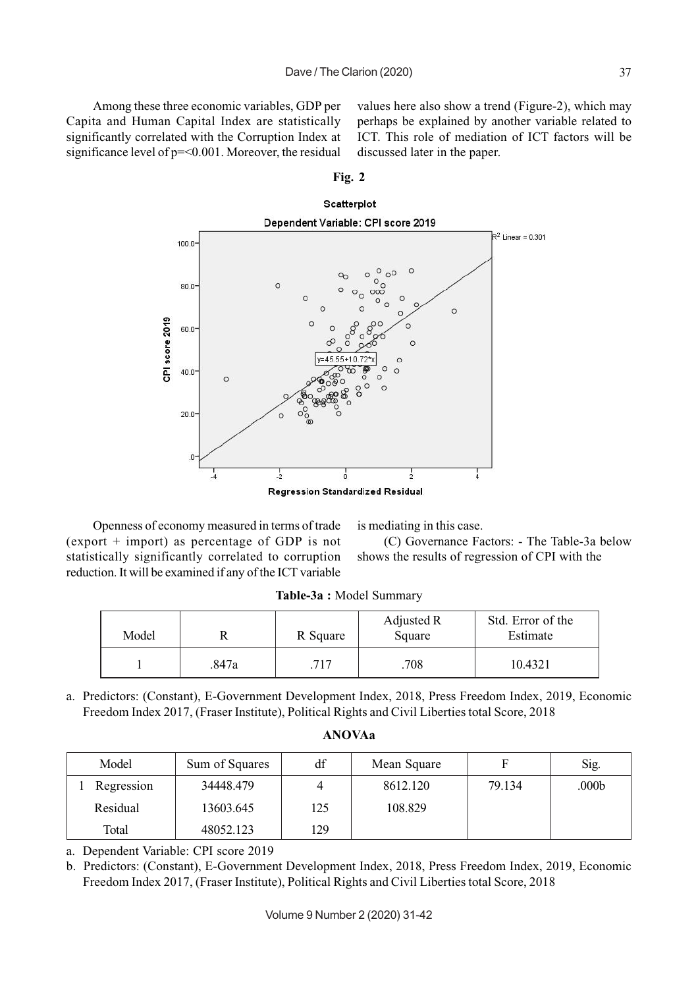Among these three economic variables, GDP per Capita and Human Capital Index are statistically significantly correlated with the Corruption Index at significance level of p=<0.001. Moreover, the residual values here also show a trend (Figure-2), which may perhaps be explained by another variable related to ICT. This role of mediation of ICT factors will be discussed later in the paper.

**Fig. 2**



Openness of economy measured in terms of trade (export + import) as percentage of GDP is not statistically significantly correlated to corruption reduction. It will be examined if any of the ICT variable

is mediating in this case.

(C) Governance Factors: - The Table-3a below shows the results of regression of CPI with the

| Model |       | R Square | Adjusted R<br>Square | Std. Error of the<br>Estimate |
|-------|-------|----------|----------------------|-------------------------------|
|       | .847a | .717     | .708                 | 10.4321                       |

**Table-3a :** Model Summary

a. Predictors: (Constant), E-Government Development Index, 2018, Press Freedom Index, 2019, Economic Freedom Index 2017, (Fraser Institute), Political Rights and Civil Liberties total Score, 2018

| Model      | Sum of Squares | df  | Mean Square | F      | Sig.  |
|------------|----------------|-----|-------------|--------|-------|
| Regression | 34448.479      |     | 8612.120    | 79.134 | .000b |
| Residual   | 13603.645      | 125 | 108.829     |        |       |
| Total      | 48052.123      | 129 |             |        |       |

**ANOVAa**

a. Dependent Variable: CPI score 2019

b. Predictors: (Constant), E-Government Development Index, 2018, Press Freedom Index, 2019, Economic Freedom Index 2017, (Fraser Institute), Political Rights and Civil Liberties total Score, 2018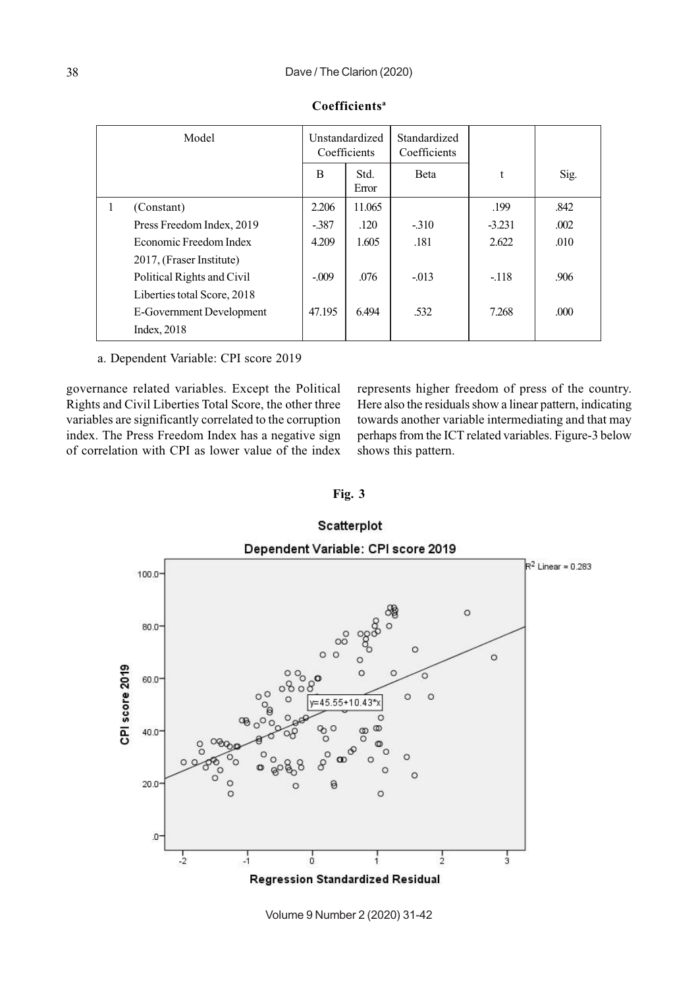| Model |                             |         | Unstandardized<br>Coefficients | Standardized<br>Coefficients |          |       |
|-------|-----------------------------|---------|--------------------------------|------------------------------|----------|-------|
|       |                             | B       | Std.<br>Error                  | <b>B</b> eta                 | t        | Sig.  |
| 1     | (Constant)                  | 2.206   | 11.065                         |                              | .199     | .842  |
|       | Press Freedom Index, 2019   | $-387$  | .120                           | $-310$                       | $-3.231$ | .002  |
|       | Economic Freedom Index      | 4.209   | 1.605                          | .181                         | 2.622    | .010  |
|       | 2017, (Fraser Institute)    |         |                                |                              |          |       |
|       | Political Rights and Civil  | $-.009$ | .076                           | $-.013$                      | $-118$   | .906  |
|       | Liberties total Score, 2018 |         |                                |                              |          |       |
|       | E-Government Development    | 47.195  | 6.494                          | .532                         | 7.268    | .000. |
|       | Index, 2018                 |         |                                |                              |          |       |

## **Coefficientsa**

a. Dependent Variable: CPI score 2019

governance related variables. Except the Political Rights and Civil Liberties Total Score, the other three variables are significantly correlated to the corruption index. The Press Freedom Index has a negative sign of correlation with CPI as lower value of the index

represents higher freedom of press of the country. Here also the residuals show a linear pattern, indicating towards another variable intermediating and that may perhaps from the ICT related variables. Figure-3 below shows this pattern.

**Fig. 3**



Volume 9 Number 2 (2020) 31-42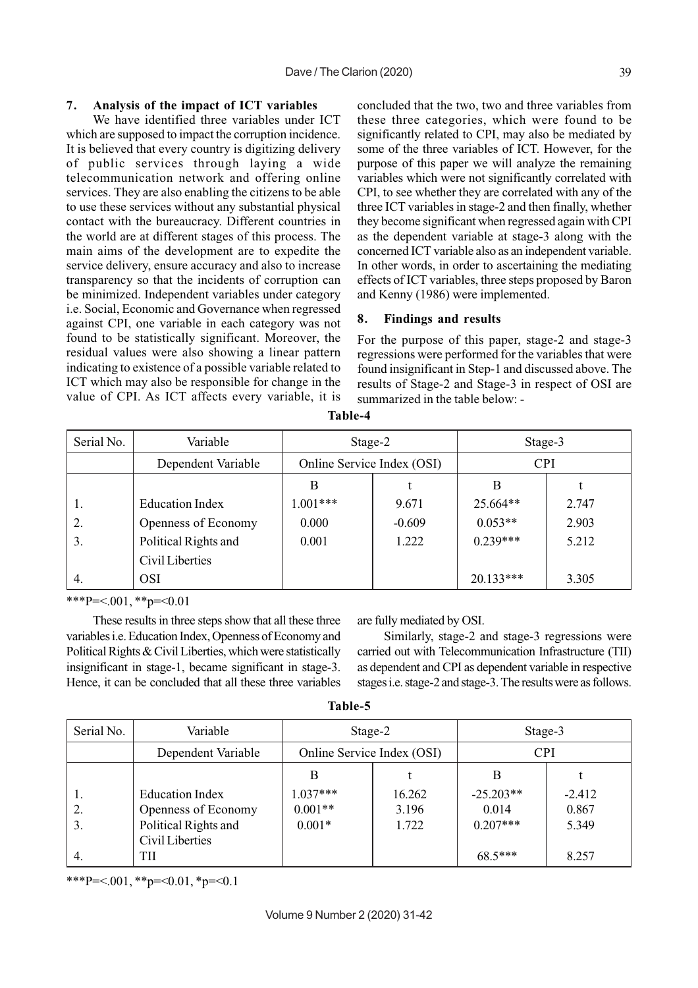#### **7. Analysis of the impact of ICT variables**

We have identified three variables under ICT which are supposed to impact the corruption incidence. It is believed that every country is digitizing delivery of public services through laying a wide telecommunication network and offering online services. They are also enabling the citizens to be able to use these services without any substantial physical contact with the bureaucracy. Different countries in the world are at different stages of this process. The main aims of the development are to expedite the service delivery, ensure accuracy and also to increase transparency so that the incidents of corruption can be minimized. Independent variables under category i.e. Social, Economic and Governance when regressed against CPI, one variable in each category was not found to be statistically significant. Moreover, the residual values were also showing a linear pattern indicating to existence of a possible variable related to ICT which may also be responsible for change in the value of CPI. As ICT affects every variable, it is concluded that the two, two and three variables from these three categories, which were found to be significantly related to CPI, may also be mediated by some of the three variables of ICT. However, for the purpose of this paper we will analyze the remaining variables which were not significantly correlated with CPI, to see whether they are correlated with any of the three ICT variables in stage-2 and then finally, whether they become significant when regressed again with CPI as the dependent variable at stage-3 along with the concerned ICT variable also as an independent variable. In other words, in order to ascertaining the mediating effects of ICT variables, three steps proposed by Baron and Kenny (1986) were implemented.

## **8. Findings and results**

For the purpose of this paper, stage-2 and stage-3 regressions were performed for the variables that were found insignificant in Step-1 and discussed above. The results of Stage-2 and Stage-3 in respect of OSI are summarized in the table below: -

| Serial No. | Variable               | Stage-2                    |          | Stage-3     |       |
|------------|------------------------|----------------------------|----------|-------------|-------|
|            | Dependent Variable     | Online Service Index (OSI) |          | <b>CPI</b>  |       |
|            |                        | B                          |          | B           |       |
| 1.         | <b>Education Index</b> | $1.001***$                 | 9.671    | 25.664**    | 2.747 |
| 2.         | Openness of Economy    | 0.000                      | $-0.609$ | $0.053**$   | 2.903 |
| 3.         | Political Rights and   | 0.001                      | 1.222    | $0.239***$  | 5.212 |
|            | Civil Liberties        |                            |          |             |       |
| 4.         | <b>OSI</b>             |                            |          | $20.133***$ | 3.305 |

**Table-4**

\*\*\*P=<.001,\*\*p=<0.01

These results in three steps show that all these three variables i.e. Education Index, Openness of Economy and Political Rights & Civil Liberties, which were statistically insignificant in stage-1, became significant in stage-3. Hence, it can be concluded that all these three variables are fully mediated by OSI.

Similarly, stage-2 and stage-3 regressions were carried out with Telecommunication Infrastructure (TII) as dependent and CPI as dependent variable in respective stages i.e. stage-2 and stage-3. The results were as follows.

| able |  |
|------|--|
|------|--|

| Serial No. | Variable               | Stage-2                    |        | Stage-3     |          |            |  |
|------------|------------------------|----------------------------|--------|-------------|----------|------------|--|
|            | Dependent Variable     | Online Service Index (OSI) |        |             |          | <b>CPI</b> |  |
|            |                        | В                          |        | В           |          |            |  |
|            | <b>Education Index</b> | $1.037***$                 | 16.262 | $-25.203**$ | $-2.412$ |            |  |
|            | Openness of Economy    | $0.001**$                  | 3.196  | 0.014       | 0.867    |            |  |
| 3.         | Political Rights and   | $0.001*$                   | 1.722  | $0.207***$  | 5.349    |            |  |
|            | Civil Liberties        |                            |        |             |          |            |  |
| 4.         | TH                     |                            |        | $68.5***$   | 8.257    |            |  |

\*\*\*P=<.001, \*\*p=<0.01, \*p=<0.1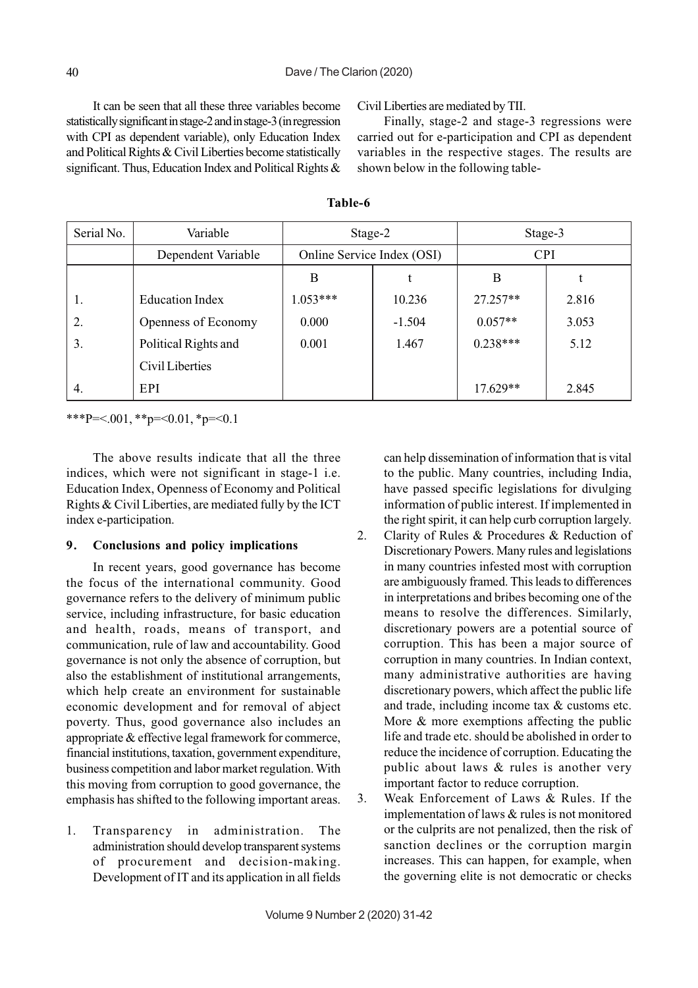It can be seen that all these three variables become statistically significant in stage-2 and in stage-3 (in regression with CPI as dependent variable), only Education Index and Political Rights & Civil Liberties become statistically significant. Thus, Education Index and Political Rights & Civil Liberties are mediated by TII.

Finally, stage-2 and stage-3 regressions were carried out for e-participation and CPI as dependent variables in the respective stages. The results are shown below in the following table-

| Serial No. | Variable               | Stage-2                    |          | Stage-3    |       |
|------------|------------------------|----------------------------|----------|------------|-------|
|            | Dependent Variable     | Online Service Index (OSI) |          | <b>CPI</b> |       |
|            |                        | B                          |          | B          |       |
| 1.         | <b>Education Index</b> | $1.053***$                 | 10.236   | $27.257**$ | 2.816 |
| 2.         | Openness of Economy    | 0.000                      | $-1.504$ | $0.057**$  | 3.053 |
| 3.         | Political Rights and   | 0.001                      | 1.467    | $0.238***$ | 5.12  |
|            | Civil Liberties        |                            |          |            |       |
| 4.         | EPI                    |                            |          | $17.629**$ | 2.845 |

#### **Table-6**

\*\*\*P=<.001, \*\*p=<0.01, \*p=<0.1

The above results indicate that all the three indices, which were not significant in stage-1 i.e. Education Index, Openness of Economy and Political Rights & Civil Liberties, are mediated fully by the ICT index e-participation.

# **9. Conclusions and policy implications**

In recent years, good governance has become the focus of the international community. Good governance refers to the delivery of minimum public service, including infrastructure, for basic education and health, roads, means of transport, and communication, rule of law and accountability. Good governance is not only the absence of corruption, but also the establishment of institutional arrangements, which help create an environment for sustainable economic development and for removal of abject poverty. Thus, good governance also includes an appropriate & effective legal framework for commerce, financial institutions, taxation, government expenditure, business competition and labor market regulation. With this moving from corruption to good governance, the emphasis has shifted to the following important areas.

1. Transparency in administration. The administration should develop transparent systems of procurement and decision-making. Development of IT and its application in all fields can help dissemination of information that is vital to the public. Many countries, including India, have passed specific legislations for divulging information of public interest. If implemented in the right spirit, it can help curb corruption largely.

- 2. Clarity of Rules & Procedures & Reduction of Discretionary Powers. Many rules and legislations in many countries infested most with corruption are ambiguously framed. This leads to differences in interpretations and bribes becoming one of the means to resolve the differences. Similarly, discretionary powers are a potential source of corruption. This has been a major source of corruption in many countries. In Indian context, many administrative authorities are having discretionary powers, which affect the public life and trade, including income tax & customs etc. More & more exemptions affecting the public life and trade etc. should be abolished in order to reduce the incidence of corruption. Educating the public about laws & rules is another very important factor to reduce corruption.
- 3. Weak Enforcement of Laws & Rules. If the implementation of laws & rules is not monitored or the culprits are not penalized, then the risk of sanction declines or the corruption margin increases. This can happen, for example, when the governing elite is not democratic or checks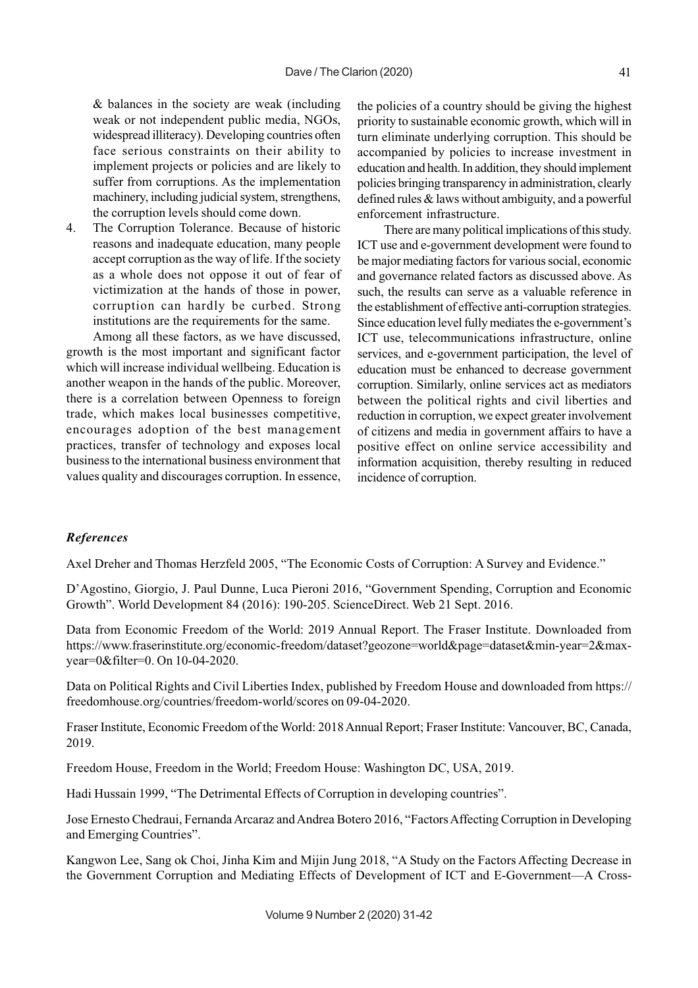& balances in the society are weak (including weak or not independent public media, NGOs, widespread illiteracy). Developing countries often face serious constraints on their ability to implement projects or policies and are likely to suffer from corruptions. As the implementation machinery, including judicial system, strengthens, the corruption levels should come down.

4. The Corruption Tolerance. Because of historic reasons and inadequate education, many people accept corruption as the way of life. If the society as a whole does not oppose it out of fear of victimization at the hands of those in power, corruption can hardly be curbed. Strong institutions are the requirements for the same.

Among all these factors, as we have discussed, growth is the most important and significant factor which will increase individual wellbeing. Education is another weapon in the hands of the public. Moreover, there is a correlation between Openness to foreign trade, which makes local businesses competitive, encourages adoption of the best management practices, transfer of technology and exposes local business to the international business environment that values quality and discourages corruption. In essence, the policies of a country should be giving the highest priority to sustainable economic growth, which will in turn eliminate underlying corruption. This should be accompanied by policies to increase investment in education and health. In addition, they should implement policies bringing transparency in administration, clearly defined rules & laws without ambiguity, and a powerful enforcement infrastructure.

There are many political implications of this study. ICT use and e-government development were found to be major mediating factors for various social, economic and governance related factors as discussed above. As such, the results can serve as a valuable reference in the establishment of effective anti-corruption strategies. Since education level fully mediates the e-government's ICT use, telecommunications infrastructure, online services, and e-government participation, the level of education must be enhanced to decrease government corruption. Similarly, online services act as mediators between the political rights and civil liberties and reduction in corruption, we expect greater involvement of citizens and media in government affairs to have a positive effect on online service accessibility and information acquisition, thereby resulting in reduced incidence of corruption.

# *References*

Axel Dreher and Thomas Herzfeld 2005, "The Economic Costs of Corruption: A Survey and Evidence."

D'Agostino, Giorgio, J. Paul Dunne, Luca Pieroni 2016, "Government Spending, Corruption and Economic Growth". World Development 84 (2016): 190-205. ScienceDirect. Web 21 Sept. 2016.

Data from Economic Freedom of the World: 2019 Annual Report. The Fraser Institute. Downloaded from https://www.fraserinstitute.org/economic-freedom/dataset?geozone=world&page=dataset&min-year=2&maxyear=0&filter=0. On 10-04-2020.

Data on Political Rights and Civil Liberties Index, published by Freedom House and downloaded from https:// freedomhouse.org/countries/freedom-world/scores on 09-04-2020.

Fraser Institute, Economic Freedom of the World: 2018 Annual Report; Fraser Institute: Vancouver, BC, Canada, 2019.

Freedom House, Freedom in the World; Freedom House: Washington DC, USA, 2019.

Hadi Hussain 1999, "The Detrimental Effects of Corruption in developing countries".

Jose Ernesto Chedraui, Fernanda Arcaraz and Andrea Botero 2016, "Factors Affecting Corruption in Developing and Emerging Countries".

Kangwon Lee, Sang ok Choi, Jinha Kim and Mijin Jung 2018, "A Study on the Factors Affecting Decrease in the Government Corruption and Mediating Effects of Development of ICT and E-Government—A Cross